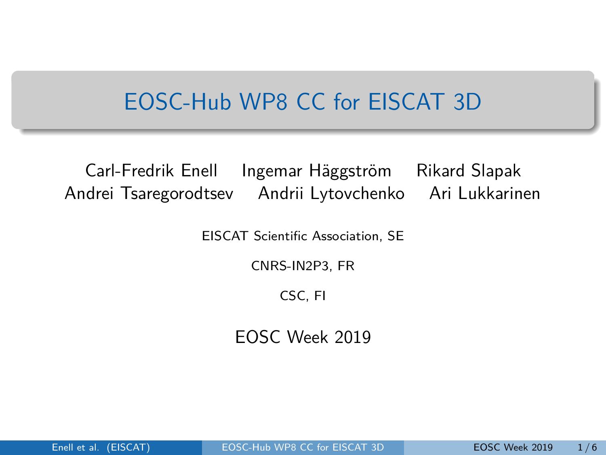## <span id="page-0-0"></span>EOSC-Hub WP8 CC for EISCAT 3D

Carl-Fredrik Enell Ingemar Häggström Rikard Slapak Andrei Tsaregorodtsev Andrii Lytovchenko Ari Lukkarinen

EISCAT Scientific Association, SE

CNRS-IN2P3, FR

CSC, FI

EOSC Week 2019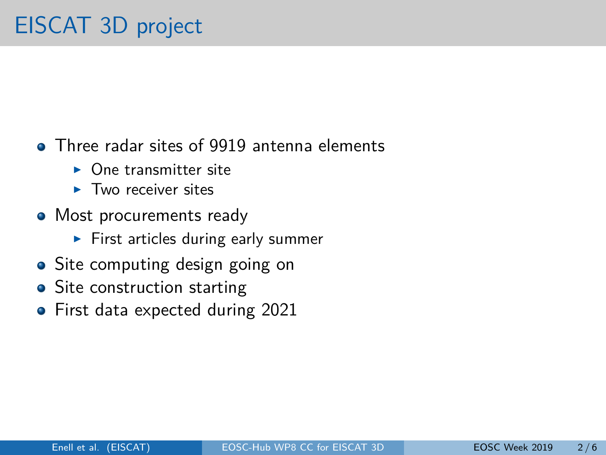- **Three radar sites of 9919 antenna elements** 
	- One transmitter site
	- $\blacktriangleright$  Two receiver sites
- Most procurements ready
	- $\blacktriangleright$  First articles during early summer
- Site computing design going on
- Site construction starting
- First data expected during 2021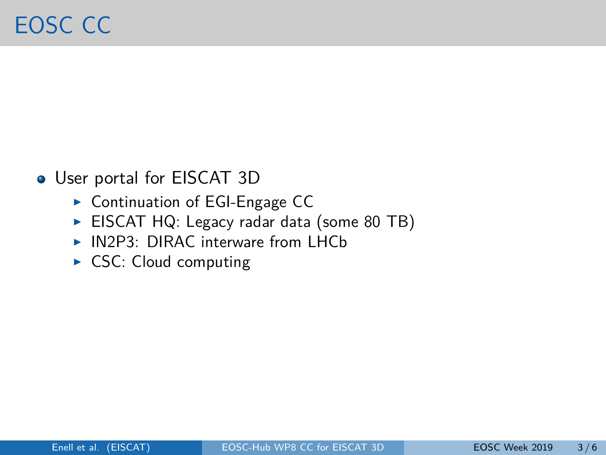- User portal for EISCAT 3D
	- $\triangleright$  Continuation of EGI-Engage CC
	- $\blacktriangleright$  EISCAT HQ: Legacy radar data (some 80 TB)
	- $\triangleright$  IN2P3: DIRAC interware from LHCb
	- $\triangleright$  CSC: Cloud computing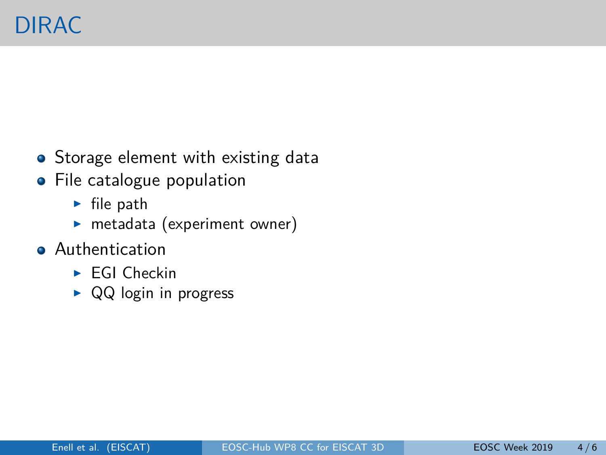- Storage element with existing data
- File catalogue population
	- $\blacktriangleright$  file path
	- $\blacktriangleright$  metadata (experiment owner)
- **Authentication** 
	- $\blacktriangleright$  EGI Checkin
	- $\triangleright$  QQ login in progress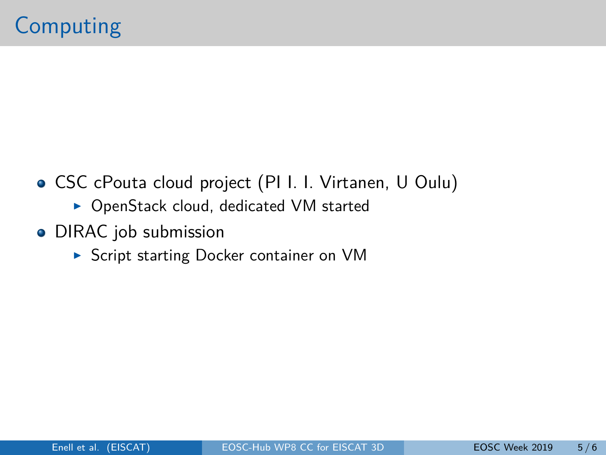- CSC cPouta cloud project (PI I. I. Virtanen, U Oulu)
	- ▶ OpenStack cloud, dedicated VM started
- DIRAC job submission
	- **F** Script starting Docker container on VM